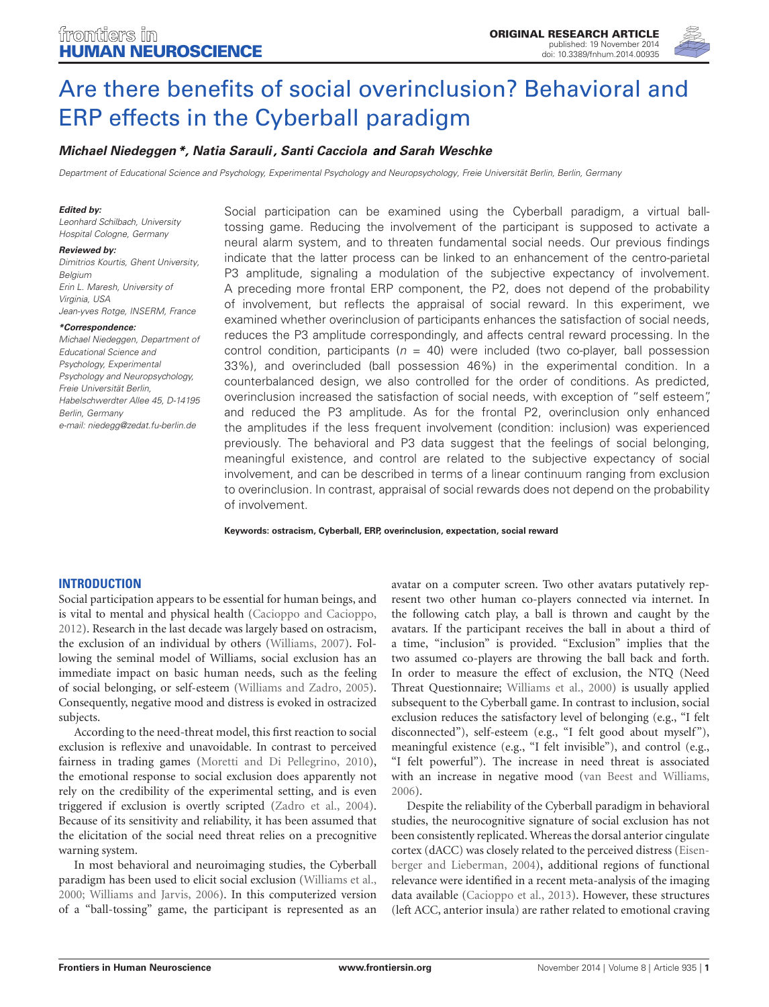

# [Are there benefits of social overinclusion? Behavioral and](http://www.frontiersin.org/Journal/10.3389/fnhum.2014.00935/abstract) [ERP effects in the Cyberball paradigm](http://www.frontiersin.org/Journal/10.3389/fnhum.2014.00935/abstract)

# **[Michael Niedeggen](http://community.frontiersin.org/people/u/182691)\*, [Natia Sarauli](http://community.frontiersin.org/people/u/182709) , [Santi Cacciola](http://community.frontiersin.org/people/u/192336) and [Sarah Weschke](http://community.frontiersin.org/people/u/187430)**

Department of Educational Science and Psychology, Experimental Psychology and Neuropsychology, Freie Universität Berlin, Berlin, Germany

#### **Edited by:**

Leonhard Schilbach, University Hospital Cologne, Germany

#### **Reviewed by:**

Dimitrios Kourtis, Ghent University, Belgium Erin L. Maresh, University of Virginia, USA Jean-yves Rotge, INSERM, France

#### **\*Correspondence:**

Michael Niedeggen, Department of Educational Science and Psychology, Experimental Psychology and Neuropsychology, Freie Universität Berlin, Habelschwerdter Allee 45, D-14195 Berlin, Germany e-mail: [niedegg@zedat.fu-berlin.de](mailto:niedegg@zedat.fu-berlin.de)

Social participation can be examined using the Cyberball paradigm, a virtual balltossing game. Reducing the involvement of the participant is supposed to activate a neural alarm system, and to threaten fundamental social needs. Our previous findings indicate that the latter process can be linked to an enhancement of the centro-parietal P3 amplitude, signaling a modulation of the subjective expectancy of involvement. A preceding more frontal ERP component, the P2, does not depend of the probability of involvement, but reflects the appraisal of social reward. In this experiment, we examined whether overinclusion of participants enhances the satisfaction of social needs, reduces the P3 amplitude correspondingly, and affects central reward processing. In the control condition, participants ( $n = 40$ ) were included (two co-player, ball possession 33%), and overincluded (ball possession 46%) in the experimental condition. In a counterbalanced design, we also controlled for the order of conditions. As predicted, overinclusion increased the satisfaction of social needs, with exception of "self esteem", and reduced the P3 amplitude. As for the frontal P2, overinclusion only enhanced the amplitudes if the less frequent involvement (condition: inclusion) was experienced previously. The behavioral and P3 data suggest that the feelings of social belonging, meaningful existence, and control are related to the subjective expectancy of social involvement, and can be described in terms of a linear continuum ranging from exclusion to overinclusion. In contrast, appraisal of social rewards does not depend on the probability of involvement.

**Keywords: ostracism, Cyberball, ERP, overinclusion, expectation, social reward**

## **INTRODUCTION**

Social participation appears to be essential for human beings, and is vital to mental and physical health [\(Cacioppo and Cacioppo,](#page-6-0) [2012\)](#page-6-0). Research in the last decade was largely based on ostracism, the exclusion of an individual by others [\(Williams, 2007\)](#page-7-0). Following the seminal model of Williams, social exclusion has an immediate impact on basic human needs, such as the feeling of social belonging, or self-esteem [\(Williams and Zadro, 2005\)](#page-7-1). Consequently, negative mood and distress is evoked in ostracized subjects.

According to the need-threat model, this first reaction to social exclusion is reflexive and unavoidable. In contrast to perceived fairness in trading games [\(Moretti and Di Pellegrino, 2010\)](#page-7-2), the emotional response to social exclusion does apparently not rely on the credibility of the experimental setting, and is even triggered if exclusion is overtly scripted [\(Zadro et al., 2004\)](#page-7-3). Because of its sensitivity and reliability, it has been assumed that the elicitation of the social need threat relies on a precognitive warning system.

In most behavioral and neuroimaging studies, the Cyberball paradigm has been used to elicit social exclusion [\(Williams et al.,](#page-7-4) [2000;](#page-7-4) [Williams and Jarvis, 2006\)](#page-7-5). In this computerized version of a "ball-tossing" game, the participant is represented as an

avatar on a computer screen. Two other avatars putatively represent two other human co-players connected via internet. In the following catch play, a ball is thrown and caught by the avatars. If the participant receives the ball in about a third of a time, "inclusion" is provided. "Exclusion" implies that the two assumed co-players are throwing the ball back and forth. In order to measure the effect of exclusion, the NTQ (Need Threat Questionnaire; [Williams et al., 2000\)](#page-7-4) is usually applied subsequent to the Cyberball game. In contrast to inclusion, social exclusion reduces the satisfactory level of belonging (e.g., "I felt disconnected"), self-esteem (e.g., "I felt good about myself"), meaningful existence (e.g., "I felt invisible"), and control (e.g., "I felt powerful"). The increase in need threat is associated with an increase in negative mood [\(van Beest and Williams,](#page-7-6) [2006\)](#page-7-6).

Despite the reliability of the Cyberball paradigm in behavioral studies, the neurocognitive signature of social exclusion has not been consistently replicated. Whereas the dorsal anterior cingulate cortex (dACC) was closely related to the perceived distress [\(Eisen](#page-7-7)[berger and Lieberman, 2004\)](#page-7-7), additional regions of functional relevance were identified in a recent meta-analysis of the imaging data available [\(Cacioppo et al., 2013\)](#page-7-8). However, these structures (left ACC, anterior insula) are rather related to emotional craving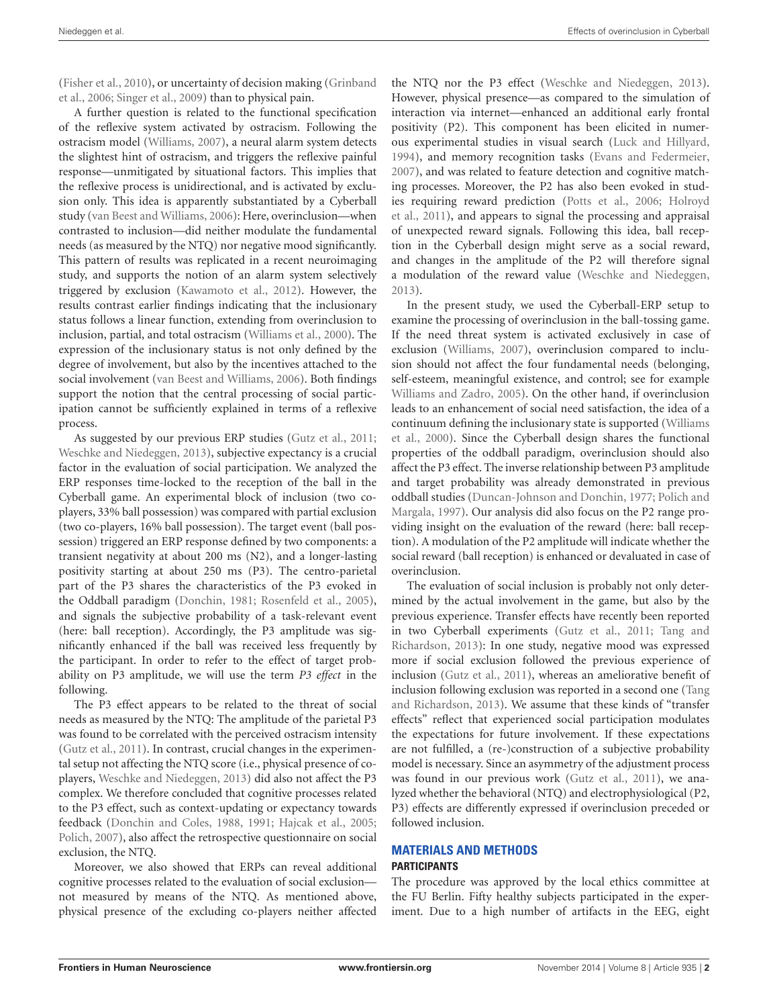[\(Fisher et al.,](#page-7-9) [2010\)](#page-7-9), or uncertainty of decision making [\(Grinband](#page-7-10) [et al.,](#page-7-10) [2006;](#page-7-10) [Singer et al.,](#page-7-11) [2009\)](#page-7-11) than to physical pain.

A further question is related to the functional specification of the reflexive system activated by ostracism. Following the ostracism model [\(Williams,](#page-7-0) [2007\)](#page-7-0), a neural alarm system detects the slightest hint of ostracism, and triggers the reflexive painful response—unmitigated by situational factors. This implies that the reflexive process is unidirectional, and is activated by exclusion only. This idea is apparently substantiated by a Cyberball study [\(van Beest and Williams,](#page-7-6) [2006\)](#page-7-6): Here, overinclusion—when contrasted to inclusion—did neither modulate the fundamental needs (as measured by the NTQ) nor negative mood significantly. This pattern of results was replicated in a recent neuroimaging study, and supports the notion of an alarm system selectively triggered by exclusion [\(Kawamoto et al.,](#page-7-12) [2012\)](#page-7-12). However, the results contrast earlier findings indicating that the inclusionary status follows a linear function, extending from overinclusion to inclusion, partial, and total ostracism [\(Williams et al.,](#page-7-4) [2000\)](#page-7-4). The expression of the inclusionary status is not only defined by the degree of involvement, but also by the incentives attached to the social involvement [\(van Beest and Williams,](#page-7-6) [2006\)](#page-7-6). Both findings support the notion that the central processing of social participation cannot be sufficiently explained in terms of a reflexive process.

As suggested by our previous ERP studies [\(Gutz et al.,](#page-7-13) [2011;](#page-7-13) [Weschke and Niedeggen,](#page-7-14) [2013\)](#page-7-14), subjective expectancy is a crucial factor in the evaluation of social participation. We analyzed the ERP responses time-locked to the reception of the ball in the Cyberball game. An experimental block of inclusion (two coplayers, 33% ball possession) was compared with partial exclusion (two co-players, 16% ball possession). The target event (ball possession) triggered an ERP response defined by two components: a transient negativity at about 200 ms (N2), and a longer-lasting positivity starting at about 250 ms (P3). The centro-parietal part of the P3 shares the characteristics of the P3 evoked in the Oddball paradigm [\(Donchin,](#page-7-15) [1981;](#page-7-15) [Rosenfeld et al.,](#page-7-16) [2005\)](#page-7-16), and signals the subjective probability of a task-relevant event (here: ball reception). Accordingly, the P3 amplitude was significantly enhanced if the ball was received less frequently by the participant. In order to refer to the effect of target probability on P3 amplitude, we will use the term *P3 effect* in the following.

The P3 effect appears to be related to the threat of social needs as measured by the NTQ: The amplitude of the parietal P3 was found to be correlated with the perceived ostracism intensity [\(Gutz et al.,](#page-7-13) [2011\)](#page-7-13). In contrast, crucial changes in the experimental setup not affecting the NTQ score (i.e., physical presence of coplayers, [Weschke and Niedeggen,](#page-7-14) [2013\)](#page-7-14) did also not affect the P3 complex. We therefore concluded that cognitive processes related to the P3 effect, such as context-updating or expectancy towards feedback [\(Donchin and Coles,](#page-7-17) [1988,](#page-7-17) [1991;](#page-7-18) [Hajcak et al.,](#page-7-19) [2005;](#page-7-19) [Polich,](#page-7-20) [2007\)](#page-7-20), also affect the retrospective questionnaire on social exclusion, the NTQ.

Moreover, we also showed that ERPs can reveal additional cognitive processes related to the evaluation of social exclusion not measured by means of the NTQ. As mentioned above, physical presence of the excluding co-players neither affected

the NTQ nor the P3 effect [\(Weschke and Niedeggen,](#page-7-14) [2013\)](#page-7-14). However, physical presence—as compared to the simulation of interaction via internet—enhanced an additional early frontal positivity (P2). This component has been elicited in numerous experimental studies in visual search [\(Luck and Hillyard,](#page-7-21) [1994\)](#page-7-21), and memory recognition tasks [\(Evans and Federmeier,](#page-7-22) [2007\)](#page-7-22), and was related to feature detection and cognitive matching processes. Moreover, the P2 has also been evoked in studies requiring reward prediction [\(Potts et al.,](#page-7-23) [2006;](#page-7-23) [Holroyd](#page-7-24) [et al.,](#page-7-24) [2011\)](#page-7-24), and appears to signal the processing and appraisal of unexpected reward signals. Following this idea, ball reception in the Cyberball design might serve as a social reward, and changes in the amplitude of the P2 will therefore signal a modulation of the reward value [\(Weschke and Niedeggen,](#page-7-14) [2013\)](#page-7-14).

In the present study, we used the Cyberball-ERP setup to examine the processing of overinclusion in the ball-tossing game. If the need threat system is activated exclusively in case of exclusion [\(Williams,](#page-7-0) [2007\)](#page-7-0), overinclusion compared to inclusion should not affect the four fundamental needs (belonging, self-esteem, meaningful existence, and control; see for example [Williams and Zadro,](#page-7-1) [2005\)](#page-7-1). On the other hand, if overinclusion leads to an enhancement of social need satisfaction, the idea of a continuum defining the inclusionary state is supported [\(Williams](#page-7-4) [et al.,](#page-7-4) [2000\)](#page-7-4). Since the Cyberball design shares the functional properties of the oddball paradigm, overinclusion should also affect the P3 effect. The inverse relationship between P3 amplitude and target probability was already demonstrated in previous oddball studies [\(Duncan-Johnson and Donchin,](#page-7-25) [1977;](#page-7-25) [Polich and](#page-7-26) [Margala,](#page-7-26) [1997\)](#page-7-26). Our analysis did also focus on the P2 range providing insight on the evaluation of the reward (here: ball reception). A modulation of the P2 amplitude will indicate whether the social reward (ball reception) is enhanced or devaluated in case of overinclusion.

The evaluation of social inclusion is probably not only determined by the actual involvement in the game, but also by the previous experience. Transfer effects have recently been reported in two Cyberball experiments [\(Gutz et al.,](#page-7-13) [2011;](#page-7-13) [Tang and](#page-7-27) [Richardson,](#page-7-27) [2013\)](#page-7-27): In one study, negative mood was expressed more if social exclusion followed the previous experience of inclusion [\(Gutz et al.,](#page-7-13) [2011\)](#page-7-13), whereas an ameliorative benefit of inclusion following exclusion was reported in a second one [\(Tang](#page-7-27) [and Richardson,](#page-7-27) [2013\)](#page-7-27). We assume that these kinds of "transfer effects" reflect that experienced social participation modulates the expectations for future involvement. If these expectations are not fulfilled, a (re-)construction of a subjective probability model is necessary. Since an asymmetry of the adjustment process was found in our previous work [\(Gutz et al.,](#page-7-13) [2011\)](#page-7-13), we analyzed whether the behavioral (NTQ) and electrophysiological (P2, P3) effects are differently expressed if overinclusion preceded or followed inclusion.

# **MATERIALS AND METHODS PARTICIPANTS**

The procedure was approved by the local ethics committee at the FU Berlin. Fifty healthy subjects participated in the experiment. Due to a high number of artifacts in the EEG, eight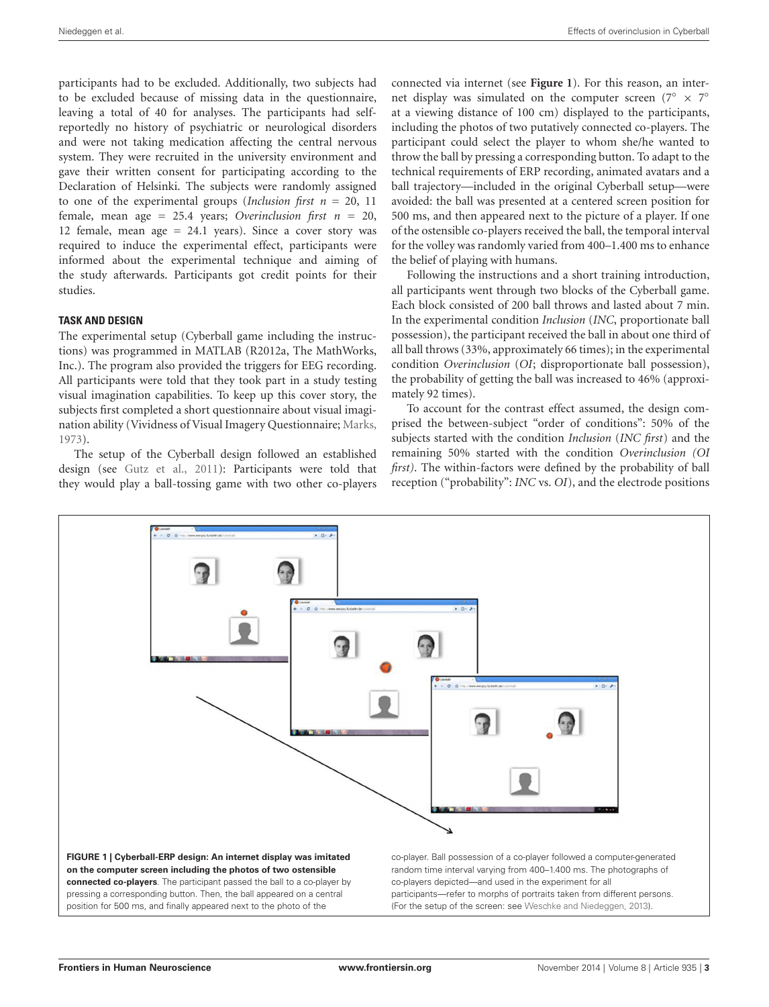participants had to be excluded. Additionally, two subjects had to be excluded because of missing data in the questionnaire, leaving a total of 40 for analyses. The participants had selfreportedly no history of psychiatric or neurological disorders and were not taking medication affecting the central nervous system. They were recruited in the university environment and gave their written consent for participating according to the Declaration of Helsinki. The subjects were randomly assigned to one of the experimental groups (*Inclusion first n* = 20, 11 female, mean age = 25.4 years; *Overinclusion first n* = 20, 12 female, mean age  $= 24.1$  years). Since a cover story was required to induce the experimental effect, participants were informed about the experimental technique and aiming of the study afterwards. Participants got credit points for their studies.

## **TASK AND DESIGN**

The experimental setup (Cyberball game including the instructions) was programmed in MATLAB (R2012a, The MathWorks, Inc.). The program also provided the triggers for EEG recording. All participants were told that they took part in a study testing visual imagination capabilities. To keep up this cover story, the subjects first completed a short questionnaire about visual imagination ability (Vividness of Visual Imagery Questionnaire; [Marks,](#page-7-28) [1973\)](#page-7-28).

The setup of the Cyberball design followed an established design (see [Gutz et al.,](#page-7-13) [2011\)](#page-7-13): Participants were told that they would play a ball-tossing game with two other co-players

connected via internet (see **[Figure 1](#page-2-0)**). For this reason, an internet display was simulated on the computer screen ( $7^\circ \times 7^\circ$ at a viewing distance of 100 cm) displayed to the participants, including the photos of two putatively connected co-players. The participant could select the player to whom she/he wanted to throw the ball by pressing a corresponding button. To adapt to the technical requirements of ERP recording, animated avatars and a ball trajectory—included in the original Cyberball setup—were avoided: the ball was presented at a centered screen position for 500 ms, and then appeared next to the picture of a player. If one of the ostensible co-players received the ball, the temporal interval for the volley was randomly varied from 400–1.400 ms to enhance the belief of playing with humans.

Following the instructions and a short training introduction, all participants went through two blocks of the Cyberball game. Each block consisted of 200 ball throws and lasted about 7 min. In the experimental condition *Inclusion* (*INC*, proportionate ball possession), the participant received the ball in about one third of all ball throws (33%, approximately 66 times); in the experimental condition *Overinclusion* (*OI*; disproportionate ball possession), the probability of getting the ball was increased to 46% (approximately 92 times).

To account for the contrast effect assumed, the design comprised the between-subject "order of conditions": 50% of the subjects started with the condition *Inclusion* (*INC first*) and the remaining 50% started with the condition *Overinclusion (OI first)*. The within-factors were defined by the probability of ball reception ("probability": *INC* vs. *OI*), and the electrode positions

<span id="page-2-0"></span>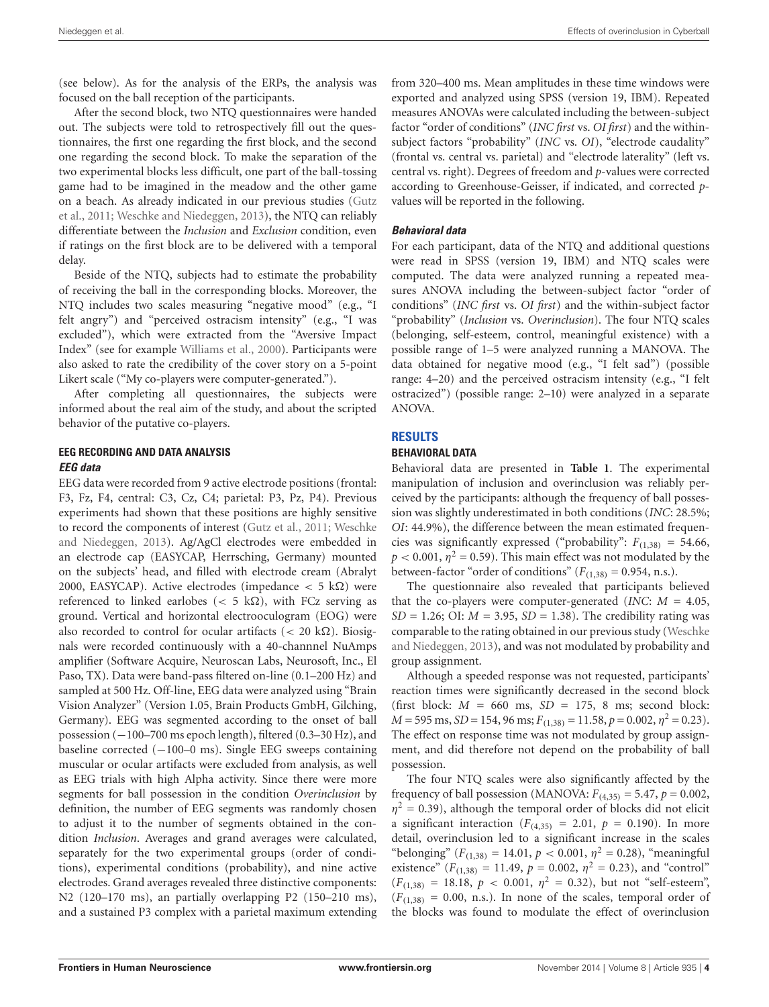(see below). As for the analysis of the ERPs, the analysis was focused on the ball reception of the participants.

After the second block, two NTQ questionnaires were handed out. The subjects were told to retrospectively fill out the questionnaires, the first one regarding the first block, and the second one regarding the second block. To make the separation of the two experimental blocks less difficult, one part of the ball-tossing game had to be imagined in the meadow and the other game on a beach. As already indicated in our previous studies [\(Gutz](#page-7-13) [et al.,](#page-7-13) [2011;](#page-7-13) [Weschke and Niedeggen,](#page-7-14) [2013\)](#page-7-14), the NTQ can reliably differentiate between the *Inclusion* and *Exclusion* condition, even if ratings on the first block are to be delivered with a temporal delay.

Beside of the NTQ, subjects had to estimate the probability of receiving the ball in the corresponding blocks. Moreover, the NTQ includes two scales measuring "negative mood" (e.g., "I felt angry") and "perceived ostracism intensity" (e.g., "I was excluded"), which were extracted from the "Aversive Impact Index" (see for example [Williams et al.,](#page-7-4) [2000\)](#page-7-4). Participants were also asked to rate the credibility of the cover story on a 5-point Likert scale ("My co-players were computer-generated.").

After completing all questionnaires, the subjects were informed about the real aim of the study, and about the scripted behavior of the putative co-players.

# **EEG RECORDING AND DATA ANALYSIS EEG data**

EEG data were recorded from 9 active electrode positions (frontal: F3, Fz, F4, central: C3, Cz, C4; parietal: P3, Pz, P4). Previous experiments had shown that these positions are highly sensitive to record the components of interest [\(Gutz et al.,](#page-7-13) [2011;](#page-7-13) [Weschke](#page-7-14) [and Niedeggen,](#page-7-14) [2013\)](#page-7-14). Ag/AgCl electrodes were embedded in an electrode cap (EASYCAP, Herrsching, Germany) mounted on the subjects' head, and filled with electrode cream (Abralyt 2000, EASYCAP). Active electrodes (impedance  $< 5 \text{ k}\Omega$ ) were referenced to linked earlobes ( $<$  5 k $\Omega$ ), with FCz serving as ground. Vertical and horizontal electrooculogram (EOG) were also recorded to control for ocular artifacts ( $<$  20 k $\Omega$ ). Biosignals were recorded continuously with a 40-channnel NuAmps amplifier (Software Acquire, Neuroscan Labs, Neurosoft, Inc., El Paso, TX). Data were band-pass filtered on-line (0.1–200 Hz) and sampled at 500 Hz. Off-line, EEG data were analyzed using "Brain Vision Analyzer" (Version 1.05, Brain Products GmbH, Gilching, Germany). EEG was segmented according to the onset of ball possession (−100–700 ms epoch length), filtered (0.3–30 Hz), and baseline corrected (−100–0 ms). Single EEG sweeps containing muscular or ocular artifacts were excluded from analysis, as well as EEG trials with high Alpha activity. Since there were more segments for ball possession in the condition *Overinclusion* by definition, the number of EEG segments was randomly chosen to adjust it to the number of segments obtained in the condition *Inclusion*. Averages and grand averages were calculated, separately for the two experimental groups (order of conditions), experimental conditions (probability), and nine active electrodes. Grand averages revealed three distinctive components: N2 (120–170 ms), an partially overlapping P2 (150–210 ms), and a sustained P3 complex with a parietal maximum extending from 320–400 ms. Mean amplitudes in these time windows were exported and analyzed using SPSS (version 19, IBM). Repeated measures ANOVAs were calculated including the between-subject factor "order of conditions" (*INC first* vs. *OI first*) and the withinsubject factors "probability" (*INC* vs. *OI*), "electrode caudality" (frontal vs. central vs. parietal) and "electrode laterality" (left vs. central vs. right). Degrees of freedom and *p*-values were corrected according to Greenhouse-Geisser, if indicated, and corrected *p*values will be reported in the following.

# **Behavioral data**

For each participant, data of the NTQ and additional questions were read in SPSS (version 19, IBM) and NTQ scales were computed. The data were analyzed running a repeated measures ANOVA including the between-subject factor "order of conditions" (*INC first* vs. *OI first*) and the within-subject factor "probability" (*Inclusion* vs. *Overinclusion*). The four NTQ scales (belonging, self-esteem, control, meaningful existence) with a possible range of 1–5 were analyzed running a MANOVA. The data obtained for negative mood (e.g., "I felt sad") (possible range: 4–20) and the perceived ostracism intensity (e.g., "I felt ostracized") (possible range: 2–10) were analyzed in a separate ANOVA.

# **RESULTS**

## **BEHAVIORAL DATA**

Behavioral data are presented in **[Table 1](#page-4-0)**. The experimental manipulation of inclusion and overinclusion was reliably perceived by the participants: although the frequency of ball possession was slightly underestimated in both conditions (*INC*: 28.5%; *OI*: 44.9%), the difference between the mean estimated frequencies was significantly expressed ("probability":  $F_{(1,38)} = 54.66$ ,  $p < 0.001$ ,  $\eta^2 = 0.59$ ). This main effect was not modulated by the between-factor "order of conditions"  $(F_{(1,38)} = 0.954, n.s.).$ 

The questionnaire also revealed that participants believed that the co-players were computer-generated (*INC*: *M* = 4.05,  $SD = 1.26$ ; OI:  $M = 3.95$ ,  $SD = 1.38$ ). The credibility rating was comparable to the rating obtained in our previous study [\(Weschke](#page-7-14) [and Niedeggen,](#page-7-14) [2013\)](#page-7-14), and was not modulated by probability and group assignment.

Although a speeded response was not requested, participants' reaction times were significantly decreased in the second block (first block:  $M = 660$  ms,  $SD = 175$ , 8 ms; second block:  $M = 595$  ms,  $SD = 154$ , 96 ms;  $F_{(1,38)} = 11.58$ ,  $p = 0.002$ ,  $\eta^2 = 0.23$ ). The effect on response time was not modulated by group assignment, and did therefore not depend on the probability of ball possession.

The four NTQ scales were also significantly affected by the frequency of ball possession (MANOVA:  $F_{(4,35)} = 5.47$ ,  $p = 0.002$ ,  $\eta^2$  = 0.39), although the temporal order of blocks did not elicit a significant interaction ( $F_{(4,35)} = 2.01$ ,  $p = 0.190$ ). In more detail, overinclusion led to a significant increase in the scales "belonging" ( $F_{(1,38)} = 14.01$ ,  $p < 0.001$ ,  $\eta^2 = 0.28$ ), "meaningful existence" ( $F_{(1,38)} = 11.49$ ,  $p = 0.002$ ,  $\eta^2 = 0.23$ ), and "control"  $(F_{(1,38)} = 18.18, p < 0.001, \eta^2 = 0.32)$ , but not "self-esteem",  $(F<sub>(1,38)</sub> = 0.00, n.s.).$  In none of the scales, temporal order of the blocks was found to modulate the effect of overinclusion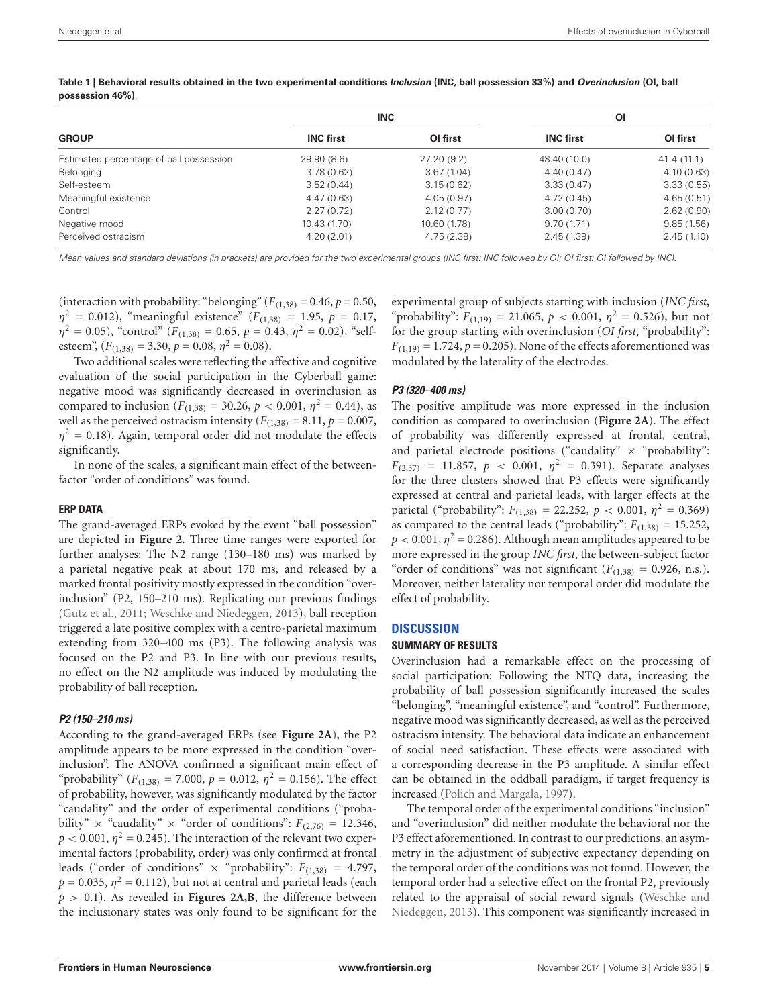| <b>GROUP</b>                            | <b>INC</b>       |              | ΟI               |             |
|-----------------------------------------|------------------|--------------|------------------|-------------|
|                                         | <b>INC first</b> | OI first     | <b>INC first</b> | OI first    |
| Estimated percentage of ball possession | 29.90(8.6)       | 27.20(9.2)   | 48.40 (10.0)     | 41.4 (11.1) |
| Belonging                               | 3.78(0.62)       | 3.67(1.04)   | 4.40(0.47)       | 4.10(0.63)  |
| Self-esteem                             | 3.52(0.44)       | 3.15(0.62)   | 3.33(0.47)       | 3.33(0.55)  |
| Meaningful existence                    | 4.47(0.63)       | 4.05(0.97)   | 4.72(0.45)       | 4.65(0.51)  |
| Control                                 | 2.27(0.72)       | 2.12(0.77)   | 3.00(0.70)       | 2.62(0.90)  |
| Negative mood                           | 10.43(1.70)      | 10.60 (1.78) | 9.70(1.71)       | 9.85(1.56)  |
| Perceived ostracism                     | 4.20(2.01)       | 4.75(2.38)   | 2.45(1.39)       | 2.45(1.10)  |
|                                         |                  |              |                  |             |

<span id="page-4-0"></span>**Table 1 | Behavioral results obtained in the two experimental conditions Inclusion (INC, ball possession 33%) and Overinclusion (OI, ball possession 46%)**.

Mean values and standard deviations (in brackets) are provided for the two experimental groups (INC first: INC followed by OI; OI first: OI followed by INC).

(interaction with probability: "belonging"  $(F_{(1,38)} = 0.46, p = 0.50,$  $\eta^2 = 0.012$ ), "meaningful existence" ( $F_{(1,38)} = 1.95$ ,  $p = 0.17$ ,  $\eta^2 = 0.05$ ), "control" ( $F_{(1,38)} = 0.65$ ,  $p = 0.43$ ,  $\eta^2 = 0.02$ ), "selfesteem",  $(F_{(1,38)} = 3.30, p = 0.08, \eta^2 = 0.08)$ .

Two additional scales were reflecting the affective and cognitive evaluation of the social participation in the Cyberball game: negative mood was significantly decreased in overinclusion as compared to inclusion ( $F_{(1,38)} = 30.26$ ,  $p < 0.001$ ,  $\eta^2 = 0.44$ ), as well as the perceived ostracism intensity  $(F_{(1,38)} = 8.11, p = 0.007,$  $\eta^2$  = 0.18). Again, temporal order did not modulate the effects significantly.

In none of the scales, a significant main effect of the betweenfactor "order of conditions" was found.

#### **ERP DATA**

The grand-averaged ERPs evoked by the event "ball possession" are depicted in **[Figure 2](#page-5-0)**. Three time ranges were exported for further analyses: The N2 range (130–180 ms) was marked by a parietal negative peak at about 170 ms, and released by a marked frontal positivity mostly expressed in the condition "overinclusion" (P2, 150–210 ms). Replicating our previous findings [\(Gutz et al.,](#page-7-13) [2011;](#page-7-13) [Weschke and Niedeggen,](#page-7-14) [2013\)](#page-7-14), ball reception triggered a late positive complex with a centro-parietal maximum extending from 320–400 ms (P3). The following analysis was focused on the P2 and P3. In line with our previous results, no effect on the N2 amplitude was induced by modulating the probability of ball reception.

#### **P2 (150–210 ms)**

According to the grand-averaged ERPs (see **[Figure 2A](#page-5-0)**), the P2 amplitude appears to be more expressed in the condition "overinclusion". The ANOVA confirmed a significant main effect of "probability" ( $F_{(1,38)} = 7.000$ ,  $p = 0.012$ ,  $\eta^2 = 0.156$ ). The effect of probability, however, was significantly modulated by the factor "caudality" and the order of experimental conditions ("probability"  $\times$  "caudality"  $\times$  "order of conditions":  $F_{(2,76)} = 12.346$ ,  $p < 0.001$ ,  $\eta^2 = 0.245$ ). The interaction of the relevant two experimental factors (probability, order) was only confirmed at frontal leads ("order of conditions"  $\times$  "probability":  $F_{(1,38)} = 4.797$ ,  $p = 0.035, \, \eta^2 = 0.112$ ), but not at central and parietal leads (each  $p > 0.1$ ). As revealed in **[Figures 2A,B](#page-5-0)**, the difference between the inclusionary states was only found to be significant for the

experimental group of subjects starting with inclusion (*INC first*, "probability":  $F_{(1,19)} = 21.065$ ,  $p < 0.001$ ,  $\eta^2 = 0.526$ ), but not for the group starting with overinclusion (*OI first*, "probability":  $F_{(1,19)} = 1.724$ ,  $p = 0.205$ ). None of the effects aforementioned was modulated by the laterality of the electrodes.

#### **P3 (320–400 ms)**

The positive amplitude was more expressed in the inclusion condition as compared to overinclusion (**[Figure 2A](#page-5-0)**). The effect of probability was differently expressed at frontal, central, and parietal electrode positions ("caudality"  $\times$  "probability":  $F_{(2,37)} = 11.857, p < 0.001, \eta^2 = 0.391$ . Separate analyses for the three clusters showed that P3 effects were significantly expressed at central and parietal leads, with larger effects at the parietal ("probability":  $F_{(1,38)} = 22.252$ ,  $p < 0.001$ ,  $\eta^2 = 0.369$ ) as compared to the central leads ("probability":  $F_{(1,38)} = 15.252$ ,  $p < 0.001$ ,  $\eta^2 = 0.286$ ). Although mean amplitudes appeared to be more expressed in the group *INC first*, the between-subject factor "order of conditions" was not significant  $(F_{(1,38)} = 0.926, n.s.).$ Moreover, neither laterality nor temporal order did modulate the effect of probability.

#### **DISCUSSION**

#### **SUMMARY OF RESULTS**

Overinclusion had a remarkable effect on the processing of social participation: Following the NTQ data, increasing the probability of ball possession significantly increased the scales "belonging", "meaningful existence", and "control". Furthermore, negative mood was significantly decreased, as well as the perceived ostracism intensity. The behavioral data indicate an enhancement of social need satisfaction. These effects were associated with a corresponding decrease in the P3 amplitude. A similar effect can be obtained in the oddball paradigm, if target frequency is increased [\(Polich and Margala,](#page-7-26) [1997\)](#page-7-26).

The temporal order of the experimental conditions "inclusion" and "overinclusion" did neither modulate the behavioral nor the P3 effect aforementioned. In contrast to our predictions, an asymmetry in the adjustment of subjective expectancy depending on the temporal order of the conditions was not found. However, the temporal order had a selective effect on the frontal P2, previously related to the appraisal of social reward signals [\(Weschke and](#page-7-14) [Niedeggen,](#page-7-14) [2013\)](#page-7-14). This component was significantly increased in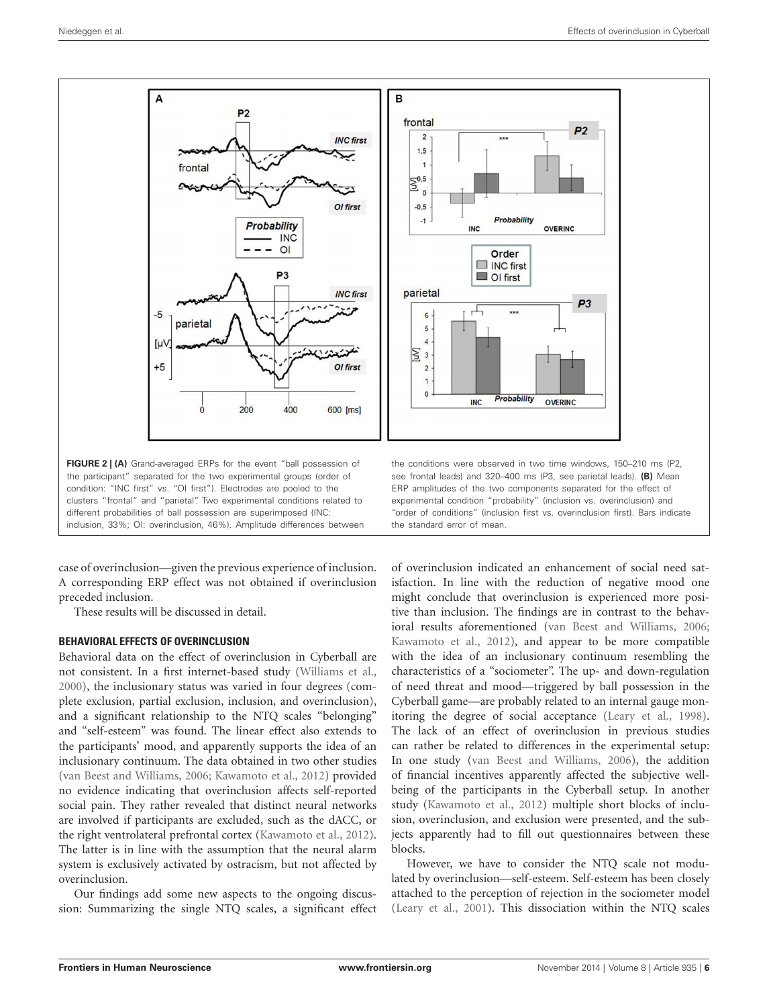

<span id="page-5-0"></span>case of overinclusion—given the previous experience of inclusion. A corresponding ERP effect was not obtained if overinclusion preceded inclusion.

These results will be discussed in detail.

## **BEHAVIORAL EFFECTS OF OVERINCLUSION**

Behavioral data on the effect of overinclusion in Cyberball are not consistent. In a first internet-based study [\(Williams et al.,](#page-7-4) [2000\)](#page-7-4), the inclusionary status was varied in four degrees (complete exclusion, partial exclusion, inclusion, and overinclusion), and a significant relationship to the NTQ scales "belonging" and "self-esteem" was found. The linear effect also extends to the participants' mood, and apparently supports the idea of an inclusionary continuum. The data obtained in two other studies [\(van Beest and Williams,](#page-7-6) [2006;](#page-7-6) [Kawamoto et al.,](#page-7-12) [2012\)](#page-7-12) provided no evidence indicating that overinclusion affects self-reported social pain. They rather revealed that distinct neural networks are involved if participants are excluded, such as the dACC, or the right ventrolateral prefrontal cortex [\(Kawamoto et al.,](#page-7-12) [2012\)](#page-7-12). The latter is in line with the assumption that the neural alarm system is exclusively activated by ostracism, but not affected by overinclusion.

Our findings add some new aspects to the ongoing discussion: Summarizing the single NTQ scales, a significant effect

of overinclusion indicated an enhancement of social need satisfaction. In line with the reduction of negative mood one might conclude that overinclusion is experienced more positive than inclusion. The findings are in contrast to the behavioral results aforementioned [\(van Beest and Williams,](#page-7-6) [2006;](#page-7-6) [Kawamoto et al.,](#page-7-12) [2012\)](#page-7-12), and appear to be more compatible with the idea of an inclusionary continuum resembling the characteristics of a "sociometer". The up- and down-regulation of need threat and mood—triggered by ball possession in the Cyberball game—are probably related to an internal gauge monitoring the degree of social acceptance [\(Leary et al.,](#page-7-29) [1998\)](#page-7-29). The lack of an effect of overinclusion in previous studies can rather be related to differences in the experimental setup: In one study [\(van Beest and Williams,](#page-7-6) [2006\)](#page-7-6), the addition of financial incentives apparently affected the subjective wellbeing of the participants in the Cyberball setup. In another study [\(Kawamoto et al.,](#page-7-12) [2012\)](#page-7-12) multiple short blocks of inclusion, overinclusion, and exclusion were presented, and the subjects apparently had to fill out questionnaires between these blocks.

However, we have to consider the NTQ scale not modulated by overinclusion—self-esteem. Self-esteem has been closely attached to the perception of rejection in the sociometer model [\(Leary et al.,](#page-7-30) [2001\)](#page-7-30). This dissociation within the NTQ scales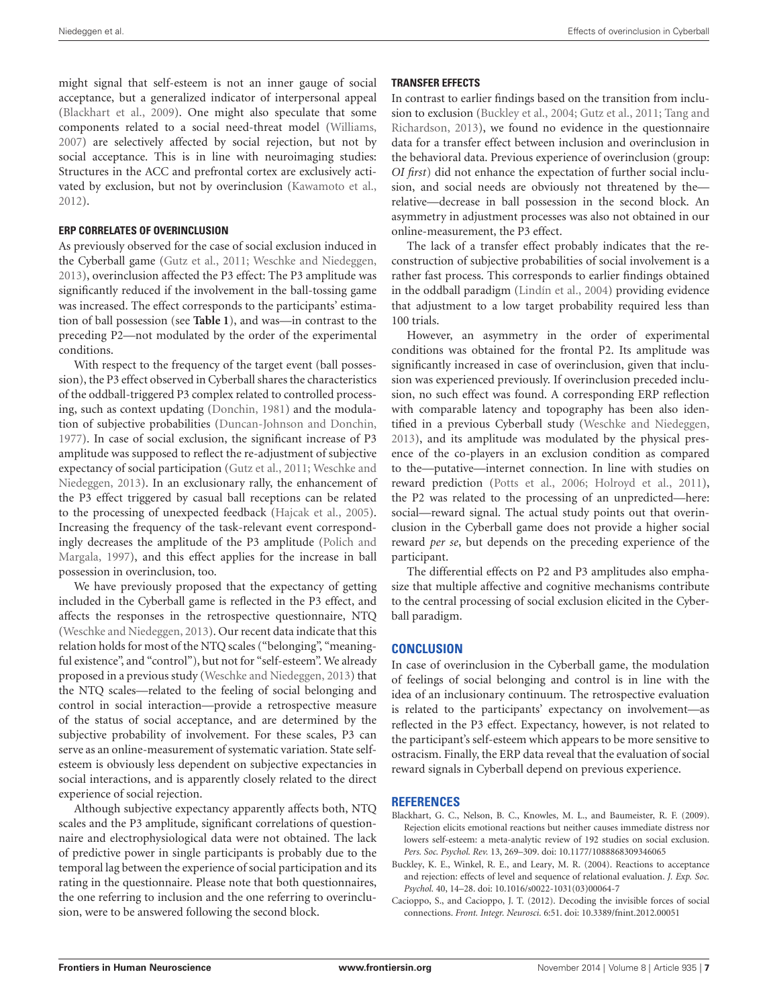might signal that self-esteem is not an inner gauge of social acceptance, but a generalized indicator of interpersonal appeal [\(Blackhart et al.,](#page-6-1) [2009\)](#page-6-1). One might also speculate that some components related to a social need-threat model [\(Williams,](#page-7-0) [2007\)](#page-7-0) are selectively affected by social rejection, but not by social acceptance. This is in line with neuroimaging studies: Structures in the ACC and prefrontal cortex are exclusively activated by exclusion, but not by overinclusion [\(Kawamoto et al.,](#page-7-12) [2012\)](#page-7-12).

## **ERP CORRELATES OF OVERINCLUSION**

As previously observed for the case of social exclusion induced in the Cyberball game [\(Gutz et al.,](#page-7-13) [2011;](#page-7-13) [Weschke and Niedeggen,](#page-7-14) [2013\)](#page-7-14), overinclusion affected the P3 effect: The P3 amplitude was significantly reduced if the involvement in the ball-tossing game was increased. The effect corresponds to the participants' estimation of ball possession (see **[Table 1](#page-4-0)**), and was—in contrast to the preceding P2—not modulated by the order of the experimental conditions.

With respect to the frequency of the target event (ball possession), the P3 effect observed in Cyberball shares the characteristics of the oddball-triggered P3 complex related to controlled processing, such as context updating [\(Donchin,](#page-7-15) [1981\)](#page-7-15) and the modulation of subjective probabilities [\(Duncan-Johnson and Donchin,](#page-7-25) [1977\)](#page-7-25). In case of social exclusion, the significant increase of P3 amplitude was supposed to reflect the re-adjustment of subjective expectancy of social participation [\(Gutz et al.,](#page-7-13) [2011;](#page-7-13) [Weschke and](#page-7-14) [Niedeggen,](#page-7-14) [2013\)](#page-7-14). In an exclusionary rally, the enhancement of the P3 effect triggered by casual ball receptions can be related to the processing of unexpected feedback [\(Hajcak et al.,](#page-7-19) [2005\)](#page-7-19). Increasing the frequency of the task-relevant event correspondingly decreases the amplitude of the P3 amplitude [\(Polich and](#page-7-26) [Margala,](#page-7-26) [1997\)](#page-7-26), and this effect applies for the increase in ball possession in overinclusion, too.

We have previously proposed that the expectancy of getting included in the Cyberball game is reflected in the P3 effect, and affects the responses in the retrospective questionnaire, NTQ [\(Weschke and Niedeggen,](#page-7-14) [2013\)](#page-7-14). Our recent data indicate that this relation holds for most of the NTQ scales ("belonging", "meaningful existence", and "control"), but not for "self-esteem". We already proposed in a previous study [\(Weschke and Niedeggen,](#page-7-14) [2013\)](#page-7-14) that the NTQ scales—related to the feeling of social belonging and control in social interaction—provide a retrospective measure of the status of social acceptance, and are determined by the subjective probability of involvement. For these scales, P3 can serve as an online-measurement of systematic variation. State selfesteem is obviously less dependent on subjective expectancies in social interactions, and is apparently closely related to the direct experience of social rejection.

Although subjective expectancy apparently affects both, NTQ scales and the P3 amplitude, significant correlations of questionnaire and electrophysiological data were not obtained. The lack of predictive power in single participants is probably due to the temporal lag between the experience of social participation and its rating in the questionnaire. Please note that both questionnaires, the one referring to inclusion and the one referring to overinclusion, were to be answered following the second block.

## **TRANSFER EFFECTS**

In contrast to earlier findings based on the transition from inclusion to exclusion [\(Buckley et al.,](#page-6-2) [2004;](#page-6-2) [Gutz et al.,](#page-7-13) [2011;](#page-7-13) [Tang and](#page-7-27) [Richardson,](#page-7-27) [2013\)](#page-7-27), we found no evidence in the questionnaire data for a transfer effect between inclusion and overinclusion in the behavioral data. Previous experience of overinclusion (group: *OI first*) did not enhance the expectation of further social inclusion, and social needs are obviously not threatened by the relative—decrease in ball possession in the second block. An asymmetry in adjustment processes was also not obtained in our online-measurement, the P3 effect.

The lack of a transfer effect probably indicates that the reconstruction of subjective probabilities of social involvement is a rather fast process. This corresponds to earlier findings obtained in the oddball paradigm [\(Lindín et al.,](#page-7-31) [2004\)](#page-7-31) providing evidence that adjustment to a low target probability required less than 100 trials.

However, an asymmetry in the order of experimental conditions was obtained for the frontal P2. Its amplitude was significantly increased in case of overinclusion, given that inclusion was experienced previously. If overinclusion preceded inclusion, no such effect was found. A corresponding ERP reflection with comparable latency and topography has been also identified in a previous Cyberball study [\(Weschke and Niedeggen,](#page-7-14) [2013\)](#page-7-14), and its amplitude was modulated by the physical presence of the co-players in an exclusion condition as compared to the—putative—internet connection. In line with studies on reward prediction [\(Potts et al.,](#page-7-23) [2006;](#page-7-23) [Holroyd et al.,](#page-7-24) [2011\)](#page-7-24), the P2 was related to the processing of an unpredicted—here: social—reward signal. The actual study points out that overinclusion in the Cyberball game does not provide a higher social reward *per se*, but depends on the preceding experience of the participant.

The differential effects on P2 and P3 amplitudes also emphasize that multiple affective and cognitive mechanisms contribute to the central processing of social exclusion elicited in the Cyberball paradigm.

# **CONCLUSION**

In case of overinclusion in the Cyberball game, the modulation of feelings of social belonging and control is in line with the idea of an inclusionary continuum. The retrospective evaluation is related to the participants' expectancy on involvement—as reflected in the P3 effect. Expectancy, however, is not related to the participant's self-esteem which appears to be more sensitive to ostracism. Finally, the ERP data reveal that the evaluation of social reward signals in Cyberball depend on previous experience.

## **REFERENCES**

- <span id="page-6-1"></span>Blackhart, G. C., Nelson, B. C., Knowles, M. L., and Baumeister, R. F. (2009). Rejection elicits emotional reactions but neither causes immediate distress nor lowers self-esteem: a meta-analytic review of 192 studies on social exclusion. *Pers. Soc. Psychol. Rev.* 13, 269–309. doi: 10.1177/1088868309346065
- <span id="page-6-2"></span>Buckley, K. E., Winkel, R. E., and Leary, M. R. (2004). Reactions to acceptance and rejection: effects of level and sequence of relational evaluation. *J. Exp. Soc. Psychol.* 40, 14–28. doi: 10.1016/s0022-1031(03)00064-7
- <span id="page-6-0"></span>Cacioppo, S., and Cacioppo, J. T. (2012). Decoding the invisible forces of social connections. *Front. Integr. Neurosci.* 6:51. doi: 10.3389/fnint.2012.00051